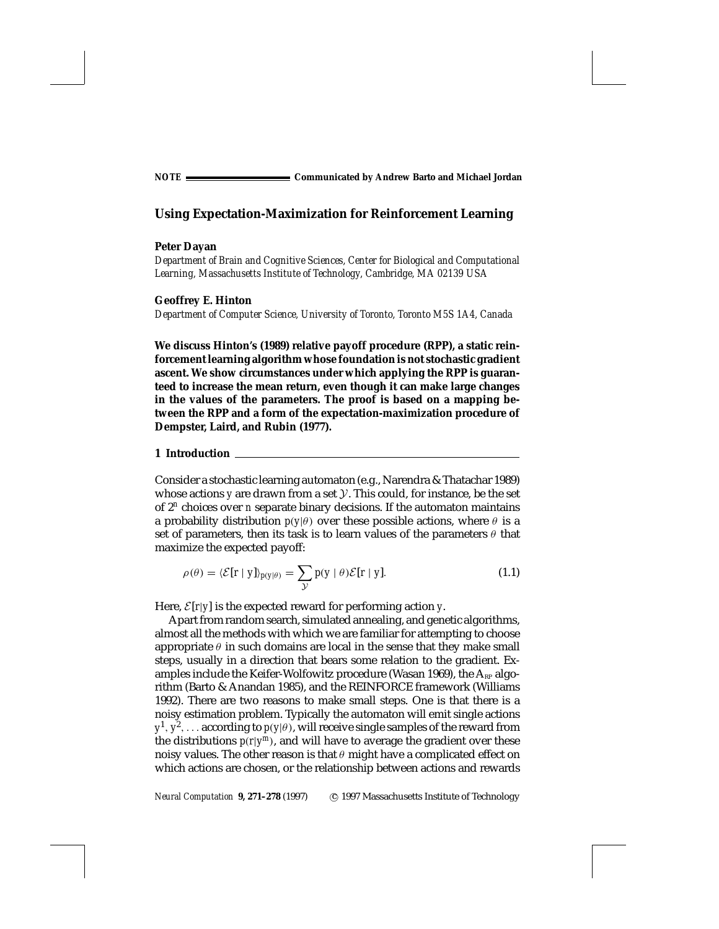*NOTE* **Communicated by Andrew Barto and Michael Jordan**

# **Using Expectation-Maximization for Reinforcement Learning**

#### **Peter Dayan**

*Department of Brain and Cognitive Sciences, Center for Biological and Computational Learning, Massachusetts Institute of Technology, Cambridge, MA 02139 USA*

## **Geoffrey E. Hinton**

*Department of Computer Science, University of Toronto, Toronto M5S 1A4, Canada*

**We discuss Hinton's (1989) relative payoff procedure (RPP), a static reinforcement learning algorithm whose foundation is not stochastic gradient ascent. We show circumstances under which applying the RPP is guaranteed to increase the mean return, even though it can make large changes in the values of the parameters. The proof is based on a mapping between the RPP and a form of the expectation-maximization procedure of Dempster, Laird, and Rubin (1977).**

#### **1 Introduction**

Consider a stochastic learning automaton (e.g., Narendra & Thatachar 1989) whose actions *y* are drawn from a set *Y*. This could, for instance, be the set of 2*<sup>n</sup>* choices over *n* separate binary decisions. If the automaton maintains a probability distribution  $p(y|\theta)$  over these possible actions, where  $\theta$  is a set of parameters, then its task is to learn values of the parameters  $\theta$  that maximize the expected payoff:

$$
\rho(\theta) = \langle \mathcal{E}[\mathbf{r} \mid \mathbf{y}] \rangle_{p(\mathbf{y}|\theta)} = \sum_{\mathcal{Y}} p(\mathbf{y} \mid \theta) \mathcal{E}[\mathbf{r} \mid \mathbf{y}]. \tag{1.1}
$$

Here,  $\mathcal{E}[r|y]$  is the expected reward for performing action *y*.

Apart from random search, simulated annealing, and genetic algorithms, almost all the methods with which we are familiar for attempting to choose appropriate  $\theta$  in such domains are local in the sense that they make small steps, usually in a direction that bears some relation to the gradient. Examples include the Keifer-Wolfowitz procedure (Wasan 1969), the  $A_{RP}$  algorithm (Barto & Anandan 1985), and the REINFORCE framework (Williams 1992). There are two reasons to make small steps. One is that there is a noisy estimation problem. Typically the automaton will emit single actions  $y^1, y^2, \ldots$  according to  $p(y|\theta)$ , will receive single samples of the reward from the distributions  $p(r|y^m)$ , and will have to average the gradient over these noisy values. The other reason is that *θ* might have a complicated effect on which actions are chosen, or the relationship between actions and rewards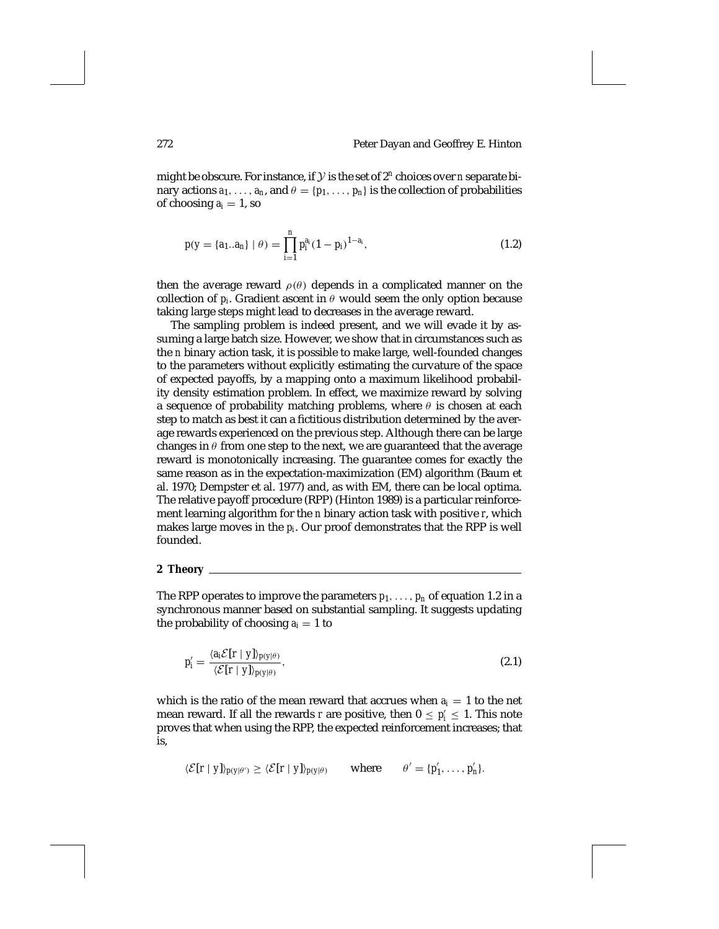might be obscure. For instance, if *Y* is the set of 2*<sup>n</sup>* choices over *<sup>n</sup>* separate binary actions  $a_1, \ldots, a_n$ , and  $\theta = \{p_1, \ldots, p_n\}$  is the collection of probabilities of choosing  $a_i = 1$ , so

$$
p(y = \{a_1 \dots a_n\} \mid \theta) = \prod_{i=1}^n p_i^{a_i} (1 - p_i)^{1 - a_i}, \tag{1.2}
$$

then the average reward  $\rho(\theta)$  depends in a complicated manner on the collection of  $p_i$ . Gradient ascent in  $\theta$  would seem the only option because taking large steps might lead to decreases in the average reward.

The sampling problem is indeed present, and we will evade it by assuming a large batch size. However, we show that in circumstances such as the *n* binary action task, it is possible to make large, well-founded changes to the parameters without explicitly estimating the curvature of the space of expected payoffs, by a mapping onto a maximum likelihood probability density estimation problem. In effect, we maximize reward by solving a sequence of probability matching problems, where *θ* is chosen at each step to match as best it can a fictitious distribution determined by the average rewards experienced on the previous step. Although there can be large changes in  $\theta$  from one step to the next, we are guaranteed that the average reward is monotonically increasing. The guarantee comes for exactly the same reason as in the expectation-maximization (EM) algorithm (Baum et al. 1970; Dempster et al. 1977) and, as with EM, there can be local optima. The relative payoff procedure (RPP) (Hinton 1989) is a particular reinforcement learning algorithm for the *n* binary action task with positive *r*, which makes large moves in the *pi*. Our proof demonstrates that the RPP is well founded.

## **2 Theory**

The RPP operates to improve the parameters  $p_1, \ldots, p_n$  of equation 1.2 in a synchronous manner based on substantial sampling. It suggests updating the probability of choosing  $a_i = 1$  to

$$
p'_{i} = \frac{\langle a_{i} \mathcal{E}[r \mid y] \rangle_{p(y|\theta)}}{\langle \mathcal{E}[r \mid y] \rangle_{p(y|\theta)}},\tag{2.1}
$$

which is the ratio of the mean reward that accrues when  $a_i = 1$  to the net mean reward. If all the rewards *r* are positive, then  $0 \le p'_i \le 1$ . This note proves that when using the RPP, the expected reinforcement increases; that is,

$$
\langle \mathcal{E}[r | y] \rangle_{p(y|\theta')} \geq \langle \mathcal{E}[r | y] \rangle_{p(y|\theta)} \quad \text{where} \quad \theta' = \{p'_1, \ldots, p'_n\}.
$$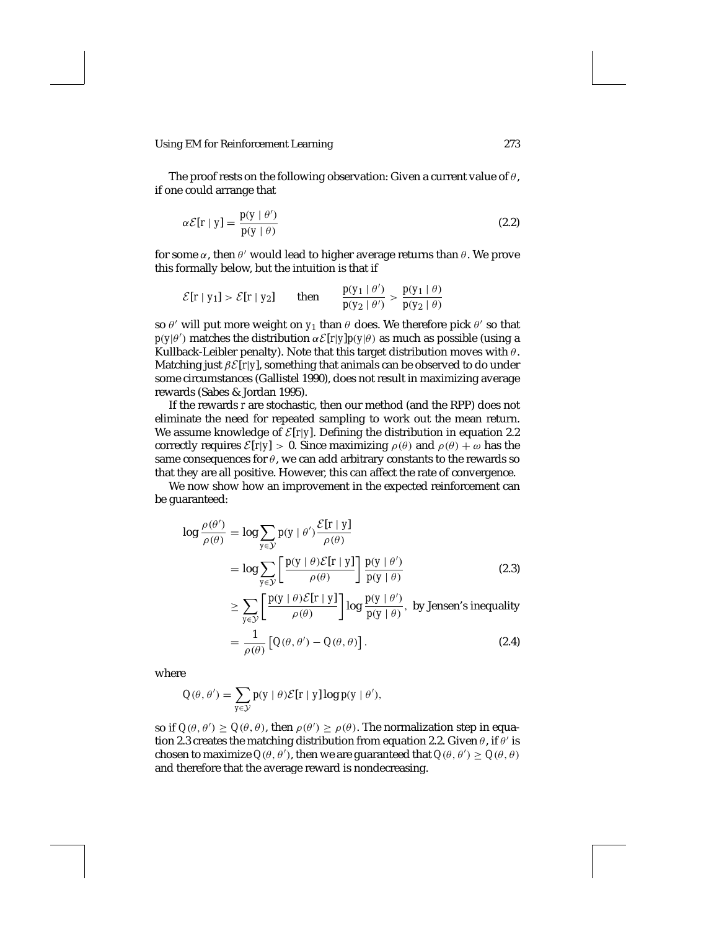The proof rests on the following observation: Given a current value of *θ*, if one could arrange that

$$
\alpha \mathcal{E}[r \mid y] = \frac{p(y \mid \theta')}{p(y \mid \theta)} \tag{2.2}
$$

for some  $\alpha$ , then  $\theta'$  would lead to higher average returns than  $\theta$ . We prove this formally below, but the intuition is that if

$$
\mathcal{E}[r \mid y_1] > \mathcal{E}[r \mid y_2] \quad \text{then} \quad \frac{p(y_1 \mid \theta')}{p(y_2 \mid \theta')} > \frac{p(y_1 \mid \theta)}{p(y_2 \mid \theta)}
$$

so  $\theta'$  will put more weight on  $y_1$  than  $\theta$  does. We therefore pick  $\theta'$  so that  $p(y|\theta')$  matches the distribution  $\alpha \mathcal{E}[r|y]p(y|\theta)$  as much as possible (using a Kullback-Leibler penalty). Note that this target distribution moves with *θ*. Matching just *βE*[*r*|*y*], something that animals can be observed to do under some circumstances (Gallistel 1990), does not result in maximizing average rewards (Sabes & Jordan 1995).

If the rewards *r* are stochastic, then our method (and the RPP) does not eliminate the need for repeated sampling to work out the mean return. We assume knowledge of  $\mathcal{E}[r|y]$ . Defining the distribution in equation 2.2 correctly requires  $\mathcal{E}[r|y] > 0$ . Since maximizing  $\rho(\theta)$  and  $\rho(\theta) + \omega$  has the same consequences for  $\theta$ , we can add arbitrary constants to the rewards so that they are all positive. However, this can affect the rate of convergence.

We now show how an improvement in the expected reinforcement can be guaranteed:

$$
\log \frac{\rho(\theta')}{\rho(\theta)} = \log \sum_{y \in \mathcal{Y}} p(y | \theta') \frac{\mathcal{E}[r | y]}{\rho(\theta)}
$$

$$
= \log \sum_{y \in \mathcal{Y}} \left[ \frac{p(y | \theta) \mathcal{E}[r | y]}{\rho(\theta)} \right] \frac{p(y | \theta')}{p(y | \theta)} \tag{2.3}
$$

 $\geq$   $\sum$ *y*∈*Y*  $\left[\frac{p(y|\theta)E[r|y]}{\rho(\theta)}\right]$ log  $\frac{p(y|\theta')}{p(y|\theta)}$ , by Jensen's inequality

$$
= \frac{1}{\rho(\theta)} \left[ Q(\theta, \theta') - Q(\theta, \theta) \right]. \tag{2.4}
$$

where

$$
Q(\theta, \theta') = \sum_{y \in \mathcal{Y}} p(y \mid \theta) \mathcal{E}[r \mid y] \log p(y \mid \theta'),
$$

so if  $Q(\theta, \theta') \ge Q(\theta, \theta)$ , then  $\rho(\theta') \ge \rho(\theta)$ . The normalization step in equation 2.3 creates the matching distribution from equation 2.2. Given  $\theta$ , if  $\theta'$  is chosen to maximize  $Q(\theta, \theta')$ , then we are guaranteed that  $Q(\theta, \theta') \ge Q(\theta, \theta)$ and therefore that the average reward is nondecreasing.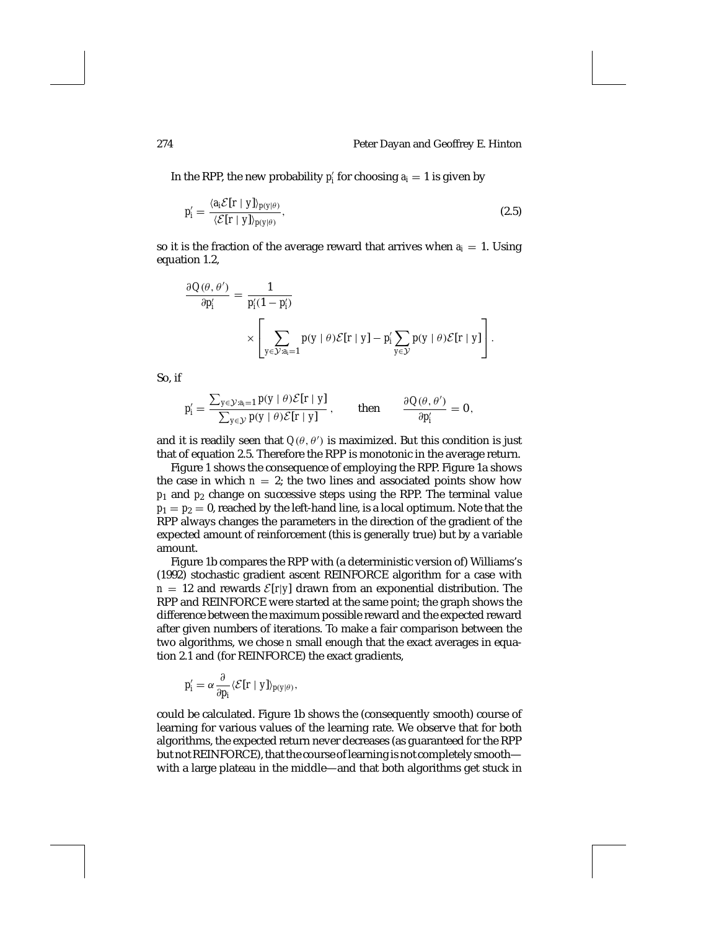In the RPP, the new probability  $p'_i$  for choosing  $a_i = 1$  is given by

$$
p_i' = \frac{\langle a_i \mathcal{E}[r \mid y] \rangle_{p(y|\theta)}}{\langle \mathcal{E}[r \mid y] \rangle_{p(y|\theta)}},\tag{2.5}
$$

so it is the fraction of the average reward that arrives when  $a_i = 1$ . Using equation 1.2,

$$
\frac{\partial Q(\theta, \theta')}{\partial p'_i} = \frac{1}{p'_i (1 - p'_i)}
$$

$$
\times \left[ \sum_{y \in \mathcal{Y}: a_i = 1} p(y | \theta) \mathcal{E}[r | y] - p'_i \sum_{y \in \mathcal{Y}} p(y | \theta) \mathcal{E}[r | y] \right].
$$

So, if

$$
p'_i = \frac{\sum_{y \in \mathcal{Y}: a_i=1} p(y \mid \theta) \mathcal{E}[r \mid y]}{\sum_{y \in \mathcal{Y}} p(y \mid \theta) \mathcal{E}[r \mid y]}, \quad \text{then} \quad \frac{\partial Q(\theta, \theta')}{\partial p'_i} = 0,
$$

and it is readily seen that  $Q(\theta, \theta')$  is maximized. But this condition is just that of equation 2.5. Therefore the RPP is monotonic in the average return.

Figure 1 shows the consequence of employing the RPP. Figure 1a shows the case in which  $n = 2$ ; the two lines and associated points show how  $p_1$  and  $p_2$  change on successive steps using the RPP. The terminal value  $p_1 = p_2 = 0$ , reached by the left-hand line, is a local optimum. Note that the RPP always changes the parameters in the direction of the gradient of the expected amount of reinforcement (this is generally true) but by a variable amount.

Figure 1b compares the RPP with (a deterministic version of) Williams's (1992) stochastic gradient ascent REINFORCE algorithm for a case with  $n = 12$  and rewards  $\mathcal{E}[r|y]$  drawn from an exponential distribution. The RPP and REINFORCE were started at the same point; the graph shows the difference between the maximum possible reward and the expected reward after given numbers of iterations. To make a fair comparison between the two algorithms, we chose *n* small enough that the exact averages in equation 2.1 and (for REINFORCE) the exact gradients,

$$
p'_{i} = \alpha \frac{\partial}{\partial p_{i}} \langle \mathcal{E}[r \mid y] \rangle_{p(y|\theta)},
$$

could be calculated. Figure 1b shows the (consequently smooth) course of learning for various values of the learning rate. We observe that for both algorithms, the expected return never decreases (as guaranteed for the RPP but not REINFORCE), that the course of learning is not completely smooth with a large plateau in the middle—and that both algorithms get stuck in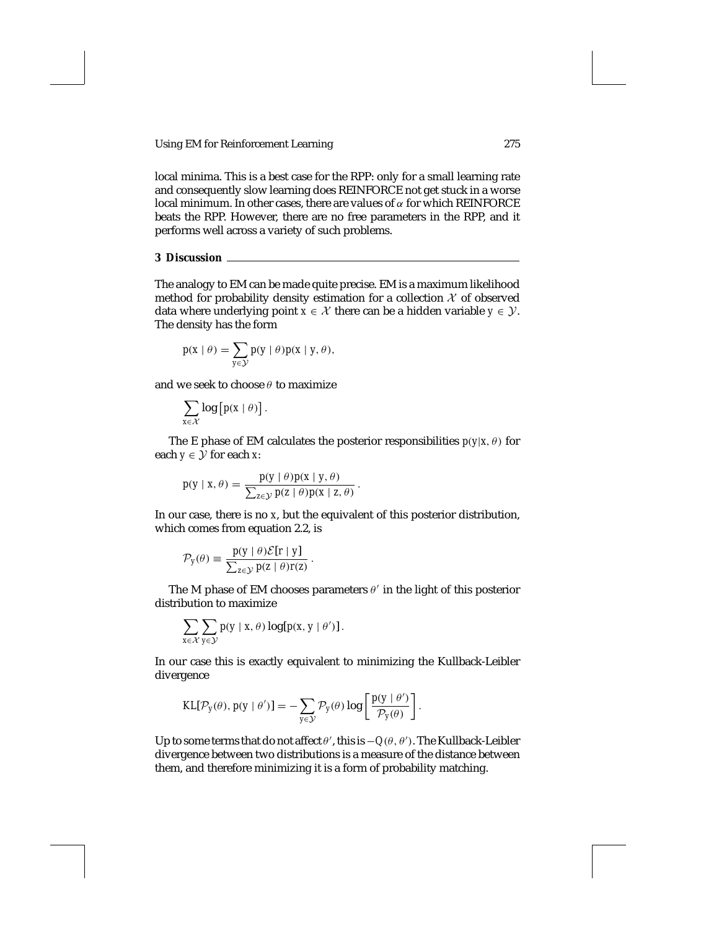local minima. This is a best case for the RPP: only for a small learning rate and consequently slow learning does REINFORCE not get stuck in a worse local minimum. In other cases, there are values of *α* for which REINFORCE beats the RPP. However, there are no free parameters in the RPP, and it performs well across a variety of such problems.

## **3 Discussion**

The analogy to EM can be made quite precise. EM is a maximum likelihood method for probability density estimation for a collection  $X$  of observed data where underlying point  $x \in \mathcal{X}$  there can be a hidden variable  $y \in \mathcal{Y}$ . The density has the form

$$
p(x | \theta) = \sum_{y \in \mathcal{Y}} p(y | \theta) p(x | y, \theta),
$$

and we seek to choose *θ* to maximize

$$
\sum_{x\in\mathcal{X}}\log\big[p(x\mid\theta)\big].
$$

The E phase of EM calculates the posterior responsibilities  $p(y|x, \theta)$  for each  $y \in \mathcal{Y}$  for each *x*:

$$
p(y \mid x, \theta) = \frac{p(y \mid \theta) p(x \mid y, \theta)}{\sum_{z \in \mathcal{Y}} p(z \mid \theta) p(x \mid z, \theta)}.
$$

In our case, there is no *x*, but the equivalent of this posterior distribution, which comes from equation 2.2, is

$$
\mathcal{P}_y(\theta) \equiv \frac{p(y \mid \theta) \mathcal{E}[r \mid y]}{\sum_{z \in \mathcal{Y}} p(z \mid \theta) r(z)}
$$

The M phase of EM chooses parameters  $\theta$ <sup>'</sup> in the light of this posterior distribution to maximize

*.*

$$
\sum_{x \in \mathcal{X}} \sum_{y \in \mathcal{Y}} p(y \mid x, \theta) \log[p(x, y \mid \theta')] .
$$

In our case this is exactly equivalent to minimizing the Kullback-Leibler divergence

$$
KL[\mathcal{P}_y(\theta), p(y | \theta')] = -\sum_{y \in \mathcal{Y}} \mathcal{P}_y(\theta) \log \left[ \frac{p(y | \theta')}{\mathcal{P}_y(\theta)} \right].
$$

Up to some terms that do not affect  $\theta'$ , this is  $-Q(\theta, \theta')$ . The Kullback-Leibler divergence between two distributions is a measure of the distance between them, and therefore minimizing it is a form of probability matching.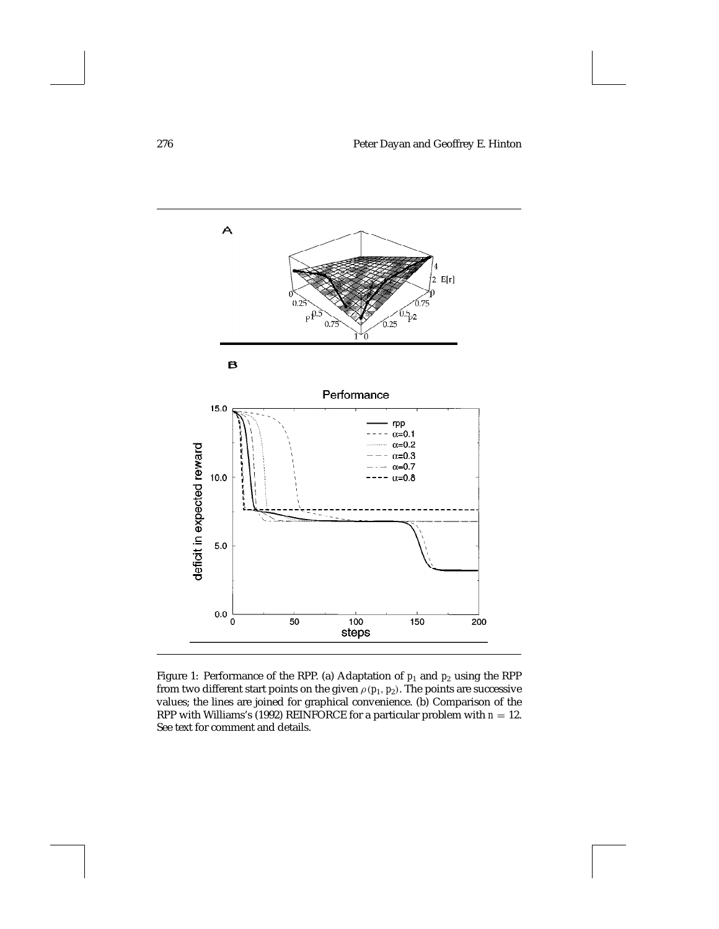

Figure 1: Performance of the RPP. (a) Adaptation of  $p_1$  and  $p_2$  using the RPP from two different start points on the given  $\rho(p_1, p_2)$ . The points are successive values; the lines are joined for graphical convenience. (b) Comparison of the RPP with Williams's (1992) REINFORCE for a particular problem with  $n = 12$ . See text for comment and details.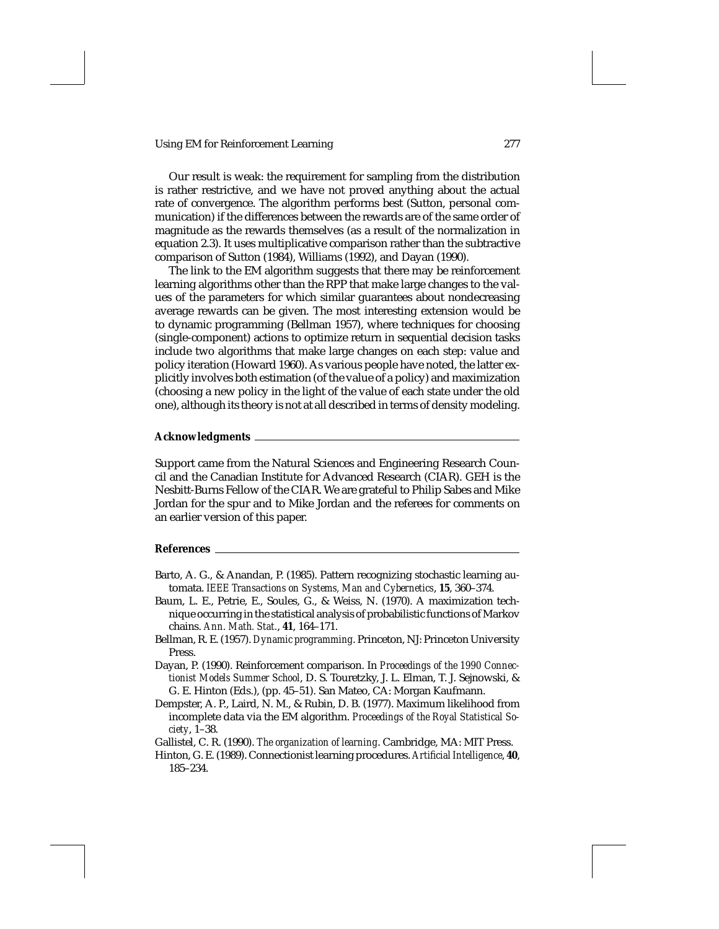Our result is weak: the requirement for sampling from the distribution is rather restrictive, and we have not proved anything about the actual rate of convergence. The algorithm performs best (Sutton, personal communication) if the differences between the rewards are of the same order of magnitude as the rewards themselves (as a result of the normalization in equation 2.3). It uses multiplicative comparison rather than the subtractive comparison of Sutton (1984), Williams (1992), and Dayan (1990).

The link to the EM algorithm suggests that there may be reinforcement learning algorithms other than the RPP that make large changes to the values of the parameters for which similar guarantees about nondecreasing average rewards can be given. The most interesting extension would be to dynamic programming (Bellman 1957), where techniques for choosing (single-component) actions to optimize return in sequential decision tasks include two algorithms that make large changes on each step: value and policy iteration (Howard 1960). As various people have noted, the latter explicitly involves both estimation (of the value of a policy) and maximization (choosing a new policy in the light of the value of each state under the old one), although its theory is not at all described in terms of density modeling.

#### **Acknowledgments**

Support came from the Natural Sciences and Engineering Research Council and the Canadian Institute for Advanced Research (CIAR). GEH is the Nesbitt-Burns Fellow of the CIAR. We are grateful to Philip Sabes and Mike Jordan for the spur and to Mike Jordan and the referees for comments on an earlier version of this paper.

#### **References**

- Barto, A. G., & Anandan, P. (1985). Pattern recognizing stochastic learning automata. *IEEE Transactions on Systems, Man and Cybernetics*, **15**, 360–374.
- Baum, L. E., Petrie, E., Soules, G., & Weiss, N. (1970). A maximization technique occurring in the statistical analysis of probabilistic functions of Markov chains. *Ann. Math. Stat.*, **41**, 164–171.
- Bellman, R. E. (1957). *Dynamic programming*. Princeton, NJ: Princeton University Press.
- Dayan, P. (1990). Reinforcement comparison. In *Proceedings of the 1990 Connectionist Models Summer School*, D. S. Touretzky, J. L. Elman, T. J. Sejnowski, & G. E. Hinton (Eds.), (pp. 45–51). San Mateo, CA: Morgan Kaufmann.
- Dempster, A. P., Laird, N. M., & Rubin, D. B. (1977). Maximum likelihood from incomplete data via the EM algorithm. *Proceedings of the Royal Statistical Society*, 1–38.

Gallistel, C. R. (1990). *The organization of learning*. Cambridge, MA: MIT Press.

Hinton, G. E. (1989). Connectionist learning procedures. *Artificial Intelligence*, **40**, 185–234.